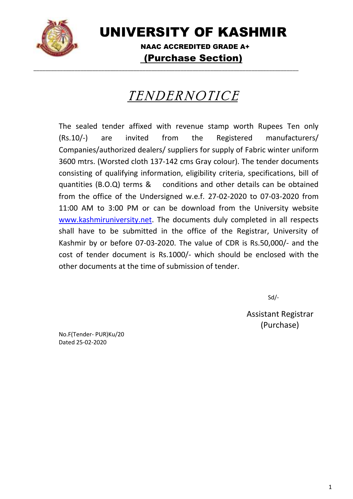

UNIVERSITY OF KASHMIR

 NAAC ACCREDITED GRADE A+ (Purchase Section)

# TENDERNOTICE

\_\_\_\_\_\_\_\_\_\_\_\_\_\_\_\_\_\_\_\_\_\_\_\_\_\_\_\_\_\_\_\_\_\_\_\_\_\_\_\_\_\_\_\_\_\_\_\_\_\_\_\_\_\_\_\_\_\_\_\_\_\_\_\_\_\_\_\_\_\_\_\_\_\_\_\_\_\_\_\_\_\_\_\_\_\_\_\_\_\_

The sealed tender affixed with revenue stamp worth Rupees Ten only (Rs.10/-) are invited from the Registered manufacturers/ Companies/authorized dealers/ suppliers for supply of Fabric winter uniform 3600 mtrs. (Worsted cloth 137-142 cms Gray colour). The tender documents consisting of qualifying information, eligibility criteria, specifications, bill of quantities (B.O.Q) terms & conditions and other details can be obtained from the office of the Undersigned w.e.f. 27-02-2020 to 07-03-2020 from 11:00 AM to 3:00 PM or can be download from the University website [www.kashmiruniversity.net.](http://www.kashmiruniversity.net/) The documents duly completed in all respects shall have to be submitted in the office of the Registrar, University of Kashmir by or before 07-03-2020. The value of CDR is Rs.50,000/- and the cost of tender document is Rs.1000/- which should be enclosed with the other documents at the time of submission of tender.

Sd/-

Assistant Registrar (Purchase)

No.F(Tender- PUR)Ku/20 Dated 25-02-2020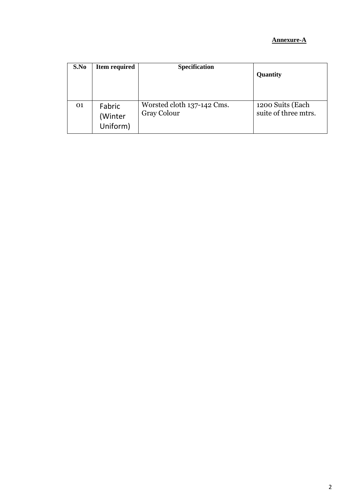### **Annexure-A**

| S.No | <b>Item required</b>          | <b>Specification</b>                      | Quantity                                 |
|------|-------------------------------|-------------------------------------------|------------------------------------------|
| 01   | Fabric<br>(Winter<br>Uniform) | Worsted cloth 137-142 Cms.<br>Gray Colour | 1200 Suits (Each<br>suite of three mtrs. |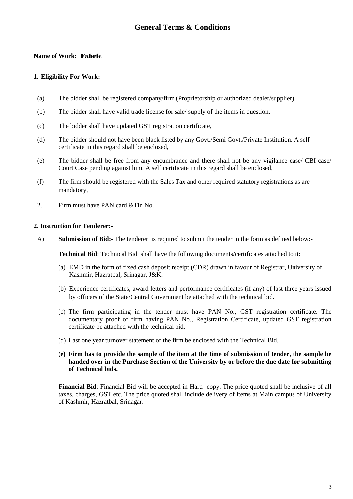### **General Terms & Conditions**

### **Name of Work:** Fabric

#### **1. Eligibility For Work:**

- (a) The bidder shall be registered company/firm (Proprietorship or authorized dealer/supplier),
- (b) The bidder shall have valid trade license for sale/ supply of the items in question,
- (c) The bidder shall have updated GST registration certificate,
- (d) The bidder should not have been black listed by any Govt./Semi Govt./Private Institution. A self certificate in this regard shall be enclosed,
- (e) The bidder shall be free from any encumbrance and there shall not be any vigilance case/ CBI case/ Court Case pending against him. A self certificate in this regard shall be enclosed,
- (f) The firm should be registered with the Sales Tax and other required statutory registrations as are mandatory,
- 2. Firm must have PAN card &Tin No.

### **2. Instruction for Tenderer:-**

A) **Submission of Bid:-** The tenderer is required to submit the tender in the form as defined below:-

**Technical Bid**: Technical Bid shall have the following documents/certificates attached to it:

- (a) EMD in the form of fixed cash deposit receipt (CDR) drawn in favour of Registrar, University of Kashmir, Hazratbal, Srinagar, J&K.
- (b) Experience certificates, award letters and performance certificates (if any) of last three years issued by officers of the State/Central Government be attached with the technical bid.
- (c) The firm participating in the tender must have PAN No., GST registration certificate. The documentary proof of firm having PAN No., Registration Certificate, updated GST registration certificate be attached with the technical bid.
- (d) Last one year turnover statement of the firm be enclosed with the Technical Bid.
- **(e) Firm has to provide the sample of the item at the time of submission of tender, the sample be handed over in the Purchase Section of the University by or before the due date for submitting of Technical bids.**

**Financial Bid**: Financial Bid will be accepted in Hard copy. The price quoted shall be inclusive of all taxes, charges, GST etc. The price quoted shall include delivery of items at Main campus of University of Kashmir, Hazratbal, Srinagar.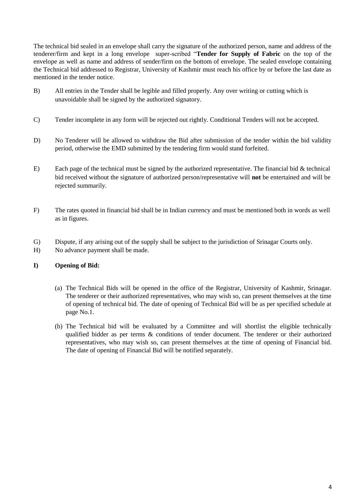The technical bid sealed in an envelope shall carry the signature of the authorized person, name and address of the tenderer/firm and kept in a long envelope super-scribed "**Tender for Supply of Fabric** on the top of the envelope as well as name and address of sender/firm on the bottom of envelope. The sealed envelope containing the Technical bid addressed to Registrar, University of Kashmir must reach his office by or before the last date as mentioned in the tender notice.

- B) All entries in the Tender shall be legible and filled properly. Any over writing or cutting which is unavoidable shall be signed by the authorized signatory.
- C) Tender incomplete in any form will be rejected out rightly. Conditional Tenders will not be accepted.
- D) No Tenderer will be allowed to withdraw the Bid after submission of the tender within the bid validity period, otherwise the EMD submitted by the tendering firm would stand forfeited.
- E) Each page of the technical must be signed by the authorized representative. The financial bid  $&$  technical bid received without the signature of authorized person/representative will **not** be entertained and will be rejected summarily.
- F) The rates quoted in financial bid shall be in Indian currency and must be mentioned both in words as well as in figures.
- G) Dispute, if any arising out of the supply shall be subject to the jurisdiction of Srinagar Courts only.
- H) No advance payment shall be made.

### **I) Opening of Bid:**

- (a) The Technical Bids will be opened in the office of the Registrar, University of Kashmir, Srinagar. The tenderer or their authorized representatives, who may wish so, can present themselves at the time of opening of technical bid. The date of opening of Technical Bid will be as per specified schedule at page No.1.
- (b) The Technical bid will be evaluated by a Committee and will shortlist the eligible technically qualified bidder as per terms & conditions of tender document. The tenderer or their authorized representatives, who may wish so, can present themselves at the time of opening of Financial bid. The date of opening of Financial Bid will be notified separately.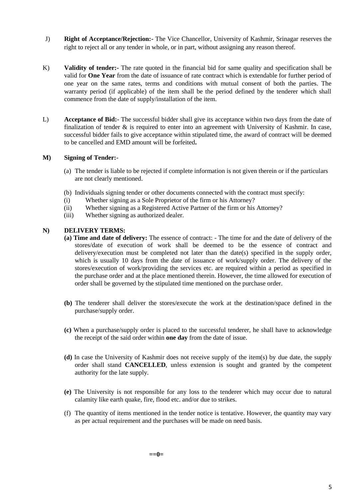- J) **Right of Acceptance/Rejection:-** The Vice Chancellor, University of Kashmir, Srinagar reserves the right to reject all or any tender in whole, or in part, without assigning any reason thereof.
- K) **Validity of tender:-** The rate quoted in the financial bid for same quality and specification shall be valid for **One Year** from the date of issuance of rate contract which is extendable for further period of one year on the same rates, terms and conditions with mutual consent of both the parties. The warranty period (if applicable) of the item shall be the period defined by the tenderer which shall commence from the date of supply/installation of the item.
- L) **Acceptance of Bid:-** The successful bidder shall give its acceptance within two days from the date of finalization of tender  $\&$  is required to enter into an agreement with University of Kashmir. In case, successful bidder fails to give acceptance within stipulated time, the award of contract will be deemed to be cancelled and EMD amount will be forfeited**.**

### **M) Signing of Tender:-**

- (a) The tender is liable to be rejected if complete information is not given therein or if the particulars are not clearly mentioned.
- (b) Individuals signing tender or other documents connected with the contract must specify:
- (i) Whether signing as a Sole Proprietor of the firm or his Attorney?
- (ii) Whether signing as a Registered Active Partner of the firm or his Attorney?
- (iii) Whether signing as authorized dealer.

#### **N) DELIVERY TERMS:**

- **(a) Time and date of delivery:** The essence of contract: The time for and the date of delivery of the stores/date of execution of work shall be deemed to be the essence of contract and delivery/execution must be completed not later than the date(s) specified in the supply order, which is usually 10 days from the date of issuance of work/supply order. The delivery of the stores/execution of work/providing the services etc. are required within a period as specified in the purchase order and at the place mentioned therein. However, the time allowed for execution of order shall be governed by the stipulated time mentioned on the purchase order.
- **(b)** The tenderer shall deliver the stores/execute the work at the destination/space defined in the purchase/supply order.
- **(c)** When a purchase/supply order is placed to the successful tenderer, he shall have to acknowledge the receipt of the said order within **one day** from the date of issue.
- **(d)** In case the University of Kashmir does not receive supply of the item(s) by due date, the supply order shall stand **CANCELLED**, unless extension is sought and granted by the competent authority for the late supply.
- **(e)** The University is not responsible for any loss to the tenderer which may occur due to natural calamity like earth quake, fire, flood etc. and/or due to strikes.
- (f) The quantity of items mentioned in the tender notice is tentative. However, the quantity may vary as per actual requirement and the purchases will be made on need basis.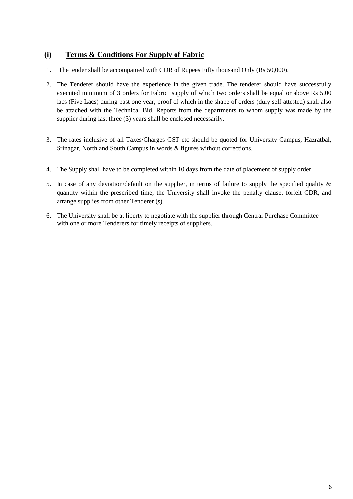### **(i) Terms & Conditions For Supply of Fabric**

- 1. The tender shall be accompanied with CDR of Rupees Fifty thousand Only (Rs 50,000).
- 2. The Tenderer should have the experience in the given trade. The tenderer should have successfully executed minimum of 3 orders for Fabric supply of which two orders shall be equal or above Rs 5.00 lacs (Five Lacs) during past one year, proof of which in the shape of orders (duly self attested) shall also be attached with the Technical Bid. Reports from the departments to whom supply was made by the supplier during last three (3) years shall be enclosed necessarily.
- 3. The rates inclusive of all Taxes/Charges GST etc should be quoted for University Campus, Hazratbal, Srinagar, North and South Campus in words & figures without corrections.
- 4. The Supply shall have to be completed within 10 days from the date of placement of supply order.
- 5. In case of any deviation/default on the supplier, in terms of failure to supply the specified quality & quantity within the prescribed time, the University shall invoke the penalty clause, forfeit CDR, and arrange supplies from other Tenderer (s).
- 6. The University shall be at liberty to negotiate with the supplier through Central Purchase Committee with one or more Tenderers for timely receipts of suppliers.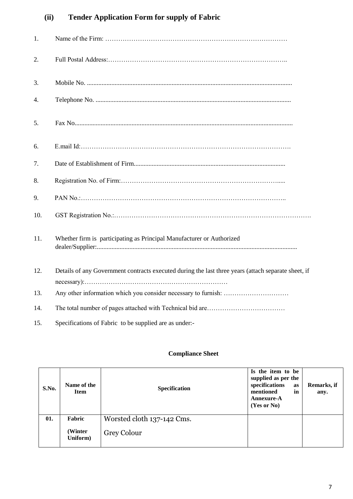# **(ii) Tender Application Form for supply of Fabric**

| 1.  |                                                                                                     |
|-----|-----------------------------------------------------------------------------------------------------|
| 2.  |                                                                                                     |
| 3.  |                                                                                                     |
| 4.  |                                                                                                     |
| 5.  |                                                                                                     |
| 6.  |                                                                                                     |
| 7.  |                                                                                                     |
| 8.  |                                                                                                     |
| 9.  |                                                                                                     |
| 10. |                                                                                                     |
| 11. | Whether firm is participating as Principal Manufacturer or Authorized                               |
| 12. | Details of any Government contracts executed during the last three years (attach separate sheet, if |
| 13. |                                                                                                     |
| 14. |                                                                                                     |
| 15. | Specifications of Fabric to be supplied are as under:-                                              |

## **Compliance Sheet**

| S.No. | Name of the<br><b>Item</b>    | <b>Specification</b>                      | Is the item to be<br>supplied as per the<br>specifications<br>as<br>mentioned<br>in<br><b>Annexure-A</b><br>(Yes or No) | Remarks, if<br>any. |
|-------|-------------------------------|-------------------------------------------|-------------------------------------------------------------------------------------------------------------------------|---------------------|
| 01.   | Fabric<br>(Winter<br>Uniform) | Worsted cloth 137-142 Cms.<br>Grey Colour |                                                                                                                         |                     |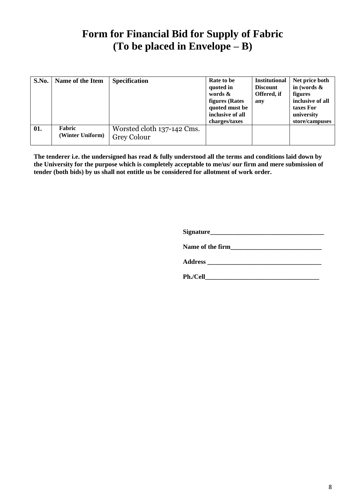# **Form for Financial Bid for Supply of Fabric (To be placed in Envelope – B)**

| S.No. | Name of the Item           | <b>Specification</b>                      | Rate to be<br>quoted in<br>words $\&$<br><b>figures</b> (Rates<br>quoted must be<br>inclusive of all<br>charges/taxes | <b>Institutional</b><br><b>Discount</b><br>Offered, if<br>any | Net price both<br>in (words $\&$<br>figures<br>inclusive of all<br>taxes For<br>university<br>store/campuses |
|-------|----------------------------|-------------------------------------------|-----------------------------------------------------------------------------------------------------------------------|---------------------------------------------------------------|--------------------------------------------------------------------------------------------------------------|
| 01.   | Fabric<br>(Winter Uniform) | Worsted cloth 137-142 Cms.<br>Grey Colour |                                                                                                                       |                                                               |                                                                                                              |

**The tenderer i.e. the undersigned has read & fully understood all the terms and conditions laid down by the University for the purpose which is completely acceptable to me/us/ our firm and mere submission of tender (both bids) by us shall not entitle us be considered for allotment of work order.**

**Signature\_\_\_\_\_\_\_\_\_\_\_\_\_\_\_\_\_\_\_\_\_\_\_\_\_\_\_\_\_\_\_\_\_\_\_**

Name of the firm

**Address \_\_\_\_\_\_\_\_\_\_\_\_\_\_\_\_\_\_\_\_\_\_\_\_\_\_\_\_\_\_\_\_\_\_\_**

**Ph./Cell\_\_\_\_\_\_\_\_\_\_\_\_\_\_\_\_\_\_\_\_\_\_\_\_\_\_\_\_\_\_\_\_\_\_\_**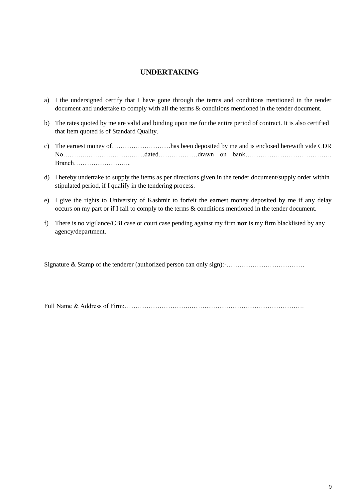### **UNDERTAKING**

- a) I the undersigned certify that I have gone through the terms and conditions mentioned in the tender document and undertake to comply with all the terms & conditions mentioned in the tender document.
- b) The rates quoted by me are valid and binding upon me for the entire period of contract. It is also certified that Item quoted is of Standard Quality.
- c) The earnest money of………………………has been deposited by me and is enclosed herewith vide CDR No……….………………….……dated………………drawn on bank…………………………………. Branch……………………...
- d) I hereby undertake to supply the items as per directions given in the tender document/supply order within stipulated period, if I qualify in the tendering process.
- e) I give the rights to University of Kashmir to forfeit the earnest money deposited by me if any delay occurs on my part or if I fail to comply to the terms & conditions mentioned in the tender document.
- f) There is no vigilance/CBI case or court case pending against my firm **nor** is my firm blacklisted by any agency/department.

Signature & Stamp of the tenderer (authorized person can only sign):-………………………………

Full Name & Address of Firm:………………………….…………………………………………….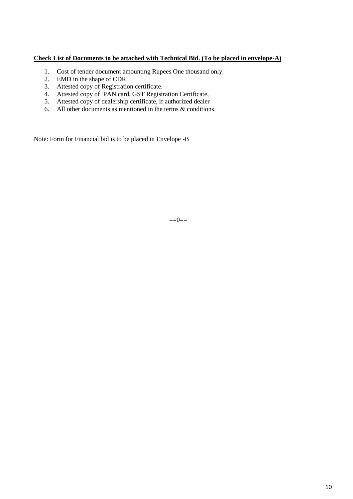### **Check List of Documents to be attached with Technical Bid. (To be placed in envelope-A)**

- 1. Cost of tender document amounting Rupees One thousand only.
- 2. EMD in the shape of CDR.
- 3. Attested copy of Registration certificate.
- 4. Attested copy of PAN card, GST Registration Certificate,
- 5. Attested copy of dealership certificate, if authorized dealer
- 6. All other documents as mentioned in the terms & conditions.

Note: Form for Financial bid is to be placed in Envelope -B

 $==0==$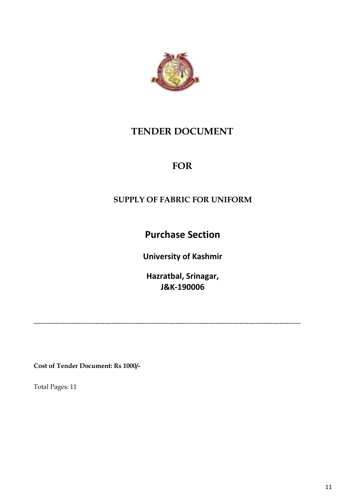

# **TENDER DOCUMENT**

# **FOR**

# **SUPPLY OF FABRIC FOR UNIFORM**

**Purchase Section**

**University of Kashmir**

**Hazratbal, Srinagar, J&K-190006**

-----------------------------------------------------------------------------------------------------------------

**Cost of Tender Document: Rs 1000/-**

Total Pages: 11